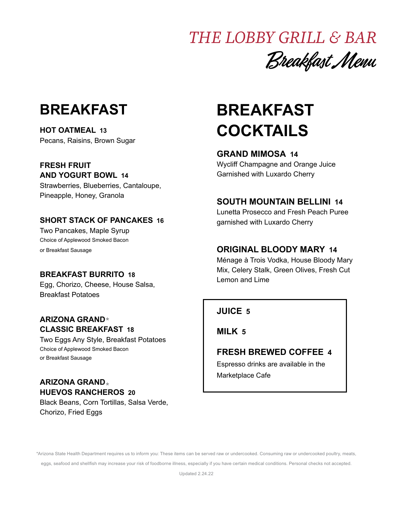*THE LOBBY GRILL & BAR* 

Breakfast Menu

# **BREAKFAST**

**HOT OATMEAL 13** Pecans, Raisins, Brown Sugar

**FRESH FRUIT AND YOGURT BOWL 14**

Strawberries, Blueberries, Cantaloupe, Pineapple, Honey, Granola

### **SHORT STACK OF PANCAKES 16**

Two Pancakes, Maple Syrup Choice of Applewood Smoked Bacon or Breakfast Sausage

#### **BREAKFAST BURRITO 18**

Egg, Chorizo, Cheese, House Salsa, Breakfast Potatoes

### **ARIZONA GRAND**  \* **CLASSIC BREAKFAST 18**

Two Eggs Any Style, Breakfast Potatoes Choice of Applewood Smoked Bacon or Breakfast Sausage

### **ARIZONA GRAND HUEVOS RANCHEROS 20** \*

Black Beans, Corn Tortillas, Salsa Verde, Chorizo, Fried Eggs

# **BREAKFAST COCKTAILS**

**GRAND MIMOSA 14** Wycliff Champagne and Orange Juice Garnished with Luxardo Cherry

### **SOUTH MOUNTAIN BELLINI 14**

Lunetta Prosecco and Fresh Peach Puree garnished with Luxardo Cherry

### **ORIGINAL BLOODY MARY 14**

Ménage à Trois Vodka, House Bloody Mary Mix, Celery Stalk, Green Olives, Fresh Cut Lemon and Lime

### **JUICE 5**

**MILK 5**

### **FRESH BREWED COFFEE 4**

Espresso drinks are available in the Marketplace Cafe

\*Arizona State Health Department requires us to inform you: These items can be served raw or undercooked. Consuming raw or undercooked poultry, meats,

eggs, seafood and shellfish may increase your risk of foodborne illness, especially if you have certain medical conditions. Personal checks not accepted.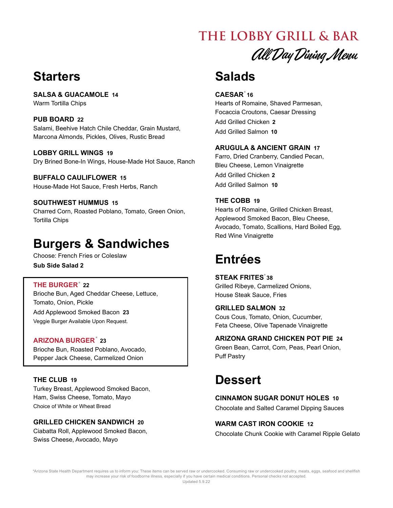### **Starters**

**SALSA & GUACAMOLE 14** Warm Tortilla Chips

**PUB BOARD 22** Salami, Beehive Hatch Chile Cheddar, Grain Mustard, Marcona Almonds, Pickles, Olives, Rustic Bread

**LOBBY GRILL WINGS 19** Dry Brined Bone-In Wings, House-Made Hot Sauce, Ranch

**BUFFALO CAULIFLOWER 15** House-Made Hot Sauce, Fresh Herbs, Ranch

**SOUTHWEST HUMMUS 15** Charred Corn, Roasted Poblano, Tomato, Green Onion, Tortilla Chips

## **Burgers & Sandwiches**

Choose: French Fries or Coleslaw **Sub Side Salad 2**

#### **THE BURGER 22** \*

Brioche Bun, Aged Cheddar Cheese, Lettuce, Tomato, Onion, Pickle Add Applewood Smoked Bacon **23** Veggie Burger Available Upon Request.

#### **ARIZONA BURGER 23** \*

Brioche Bun, Roasted Poblano, Avocado, Pepper Jack Cheese, Carmelized Onion

#### **THE CLUB 19**

Turkey Breast, Applewood Smoked Bacon, Ham, Swiss Cheese, Tomato, Mayo Choice of White or Wheat Bread

#### **GRILLED CHICKEN SANDWICH 20**

Ciabatta Roll, Applewood Smoked Bacon, Swiss Cheese, Avocado, Mayo

# **THE LOBBY GRILL & BAR**

All Day Dining Menu

### **Salads**

#### $\mathsf{CAESAR}^*$ 16

Hearts of Romaine, Shaved Parmesan, Focaccia Croutons, Caesar Dressing Add Grilled Chicken **2**  Add Grilled Salmon **10**

#### **ARUGULA & ANCIENT GRAIN 17**

Farro, Dried Cranberry, Candied Pecan, Bleu Cheese, Lemon Vinaigrette Add Grilled Chicken **2**  Add Grilled Salmon **10** 

#### **THE COBB 19**

Hearts of Romaine, Grilled Chicken Breast, Applewood Smoked Bacon, Bleu Cheese, Avocado, Tomato, Scallions, Hard Boiled Egg, Red Wine Vinaigrette

## **Entrées**

**STEAK FRITES 38** \* Grilled Ribeye, Carmelized Onions, House Steak Sauce, Fries

#### **GRILLED SALMON 32**

Cous Cous, Tomato, Onion, Cucumber, Feta Cheese, Olive Tapenade Vinaigrette

#### **ARIZONA GRAND CHICKEN POT PIE 24**

Green Bean, Carrot, Corn, Peas, Pearl Onion, Puff Pastry

## **Dessert**

#### **CINNAMON SUGAR DONUT HOLES 10**

Chocolate and Salted Caramel Dipping Sauces

#### **WARM CAST IRON COOKIE 12**

Chocolate Chunk Cookie with Caramel Ripple Gelato

\*Arizona State Health Department requires us to inform you: These items can be served raw or undercooked. Consuming raw or undercooked poultry, meats, eggs, seafood and shellfish may increase your risk of foodborne illness, especially if you have certain medical conditions. Personal checks not accepted.

Updated 5.9.22